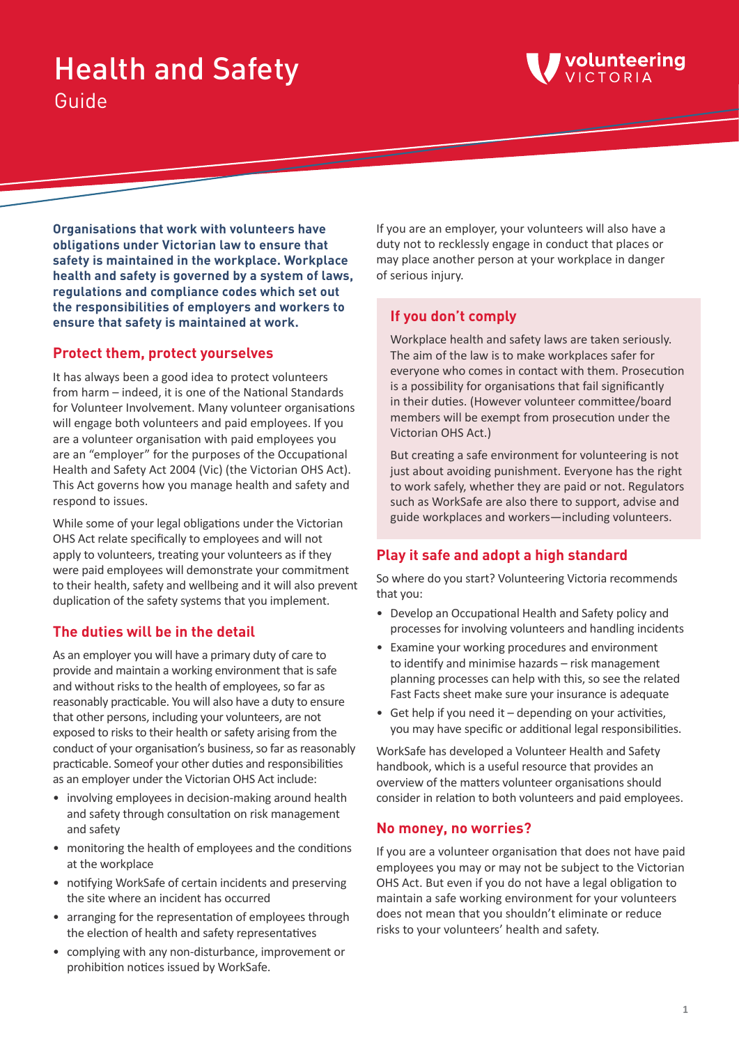# Health and Safety Guide



**Organisations that work with volunteers have obligations under Victorian law to ensure that safety is maintained in the workplace. Workplace health and safety is governed by a system of laws, regulations and compliance codes which set out the responsibilities of employers and workers to ensure that safety is maintained at work.**

## **Protect them, protect yourselves**

It has always been a good idea to protect volunteers from harm – indeed, it is one of the National Standards for Volunteer Involvement. Many volunteer organisations will engage both volunteers and paid employees. If you are a volunteer organisation with paid employees you are an "employer" for the purposes of the Occupational Health and Safety Act 2004 (Vic) (the Victorian OHS Act). This Act governs how you manage health and safety and respond to issues.

While some of your legal obligations under the Victorian OHS Act relate specifically to employees and will not apply to volunteers, treating your volunteers as if they were paid employees will demonstrate your commitment to their health, safety and wellbeing and it will also prevent duplication of the safety systems that you implement.

# **The duties will be in the detail**

As an employer you will have a primary duty of care to provide and maintain a working environment that is safe and without risks to the health of employees, so far as reasonably practicable. You will also have a duty to ensure that other persons, including your volunteers, are not exposed to risks to their health or safety arising from the conduct of your organisation's business, so far as reasonably practicable. Someof your other duties and responsibilities as an employer under the Victorian OHS Act include:

- involving employees in decision-making around health and safety through consultation on risk management and safety
- monitoring the health of employees and the conditions at the workplace
- notifying WorkSafe of certain incidents and preserving the site where an incident has occurred
- arranging for the representation of employees through the election of health and safety representatives
- complying with any non-disturbance, improvement or prohibition notices issued by WorkSafe.

If you are an employer, your volunteers will also have a duty not to recklessly engage in conduct that places or may place another person at your workplace in danger of serious injury.

## **If you don't comply**

Workplace health and safety laws are taken seriously. The aim of the law is to make workplaces safer for everyone who comes in contact with them. Prosecution is a possibility for organisations that fail significantly in their duties. (However volunteer committee/board members will be exempt from prosecution under the Victorian OHS Act.)

But creating a safe environment for volunteering is not just about avoiding punishment. Everyone has the right to work safely, whether they are paid or not. Regulators such as WorkSafe are also there to support, advise and guide workplaces and workers—including volunteers.

# **Play it safe and adopt a high standard**

So where do you start? Volunteering Victoria recommends that you:

- Develop an Occupational Health and Safety policy and processes for involving volunteers and handling incidents
- Examine your working procedures and environment to identify and minimise hazards – risk management planning processes can help with this, so see the related Fast Facts sheet make sure your insurance is adequate
- Get help if you need it depending on your activities, you may have specific or additional legal responsibilities.

WorkSafe has developed a Volunteer Health and Safety handbook, which is a useful resource that provides an overview of the matters volunteer organisations should consider in relation to both volunteers and paid employees.

## **No money, no worries?**

If you are a volunteer organisation that does not have paid employees you may or may not be subject to the Victorian OHS Act. But even if you do not have a legal obligation to maintain a safe working environment for your volunteers does not mean that you shouldn't eliminate or reduce risks to your volunteers' health and safety.